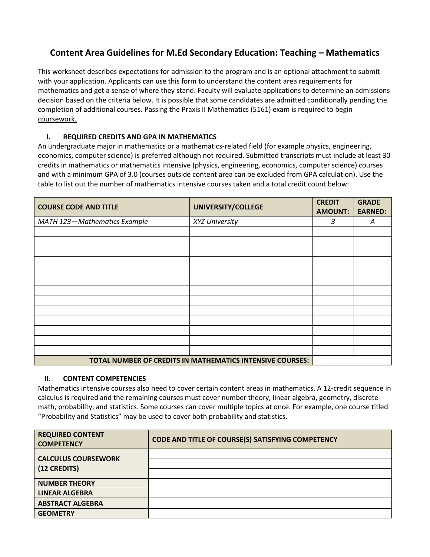## **Content Area Guidelines for M.Ed Secondary Education: Teaching – Mathematics**

This worksheet describes expectations for admission to the program and is an optional attachment to submit with your application. Applicants can use this form to understand the content area requirements for mathematics and get a sense of where they stand. Faculty will evaluate applications to determine an admissions decision based on the criteria below. It is possible that some candidates are admitted conditionally pending the completion of additional courses. Passing the Praxis II Mathematics (5161) exam is required to begin coursework.

## **I. REQUIRED CREDITS AND GPA IN MATHEMATICS**

An undergraduate major in mathematics or a mathematics-related field (for example physics, engineering, economics, computer science) is preferred although not required. Submitted transcripts must include at least 30 credits in mathematics or mathematics intensive (physics, engineering, economics, computer science) courses and with a minimum GPA of 3.0 (courses outside content area can be excluded from GPA calculation). Use the table to list out the number of mathematics intensive courses taken and a total credit count below:

| <b>COURSE CODE AND TITLE</b> | UNIVERSITY/COLLEGE                                        | <b>CREDIT</b><br><b>AMOUNT:</b> | <b>GRADE</b><br><b>EARNED:</b> |
|------------------------------|-----------------------------------------------------------|---------------------------------|--------------------------------|
| MATH 123-Mathematics Example | XYZ University                                            | 3                               | A                              |
|                              |                                                           |                                 |                                |
|                              |                                                           |                                 |                                |
|                              |                                                           |                                 |                                |
|                              |                                                           |                                 |                                |
|                              |                                                           |                                 |                                |
|                              |                                                           |                                 |                                |
|                              |                                                           |                                 |                                |
|                              |                                                           |                                 |                                |
|                              |                                                           |                                 |                                |
|                              |                                                           |                                 |                                |
|                              |                                                           |                                 |                                |
|                              |                                                           |                                 |                                |
|                              |                                                           |                                 |                                |
|                              | TOTAL NUMBER OF CREDITS IN MATHEMATICS INTENSIVE COURSES: |                                 |                                |

## **II. CONTENT COMPETENCIES**

Mathematics intensive courses also need to cover certain content areas in mathematics. A 12-credit sequence in calculus is required and the remaining courses must cover number theory, linear algebra, geometry, discrete math, probability, and statistics. Some courses can cover multiple topics at once. For example, one course titled "Probability and Statistics" may be used to cover both probability and statistics.

| <b>REQUIRED CONTENT</b><br><b>COMPETENCY</b> | CODE AND TITLE OF COURSE(S) SATISFYING COMPETENCY |
|----------------------------------------------|---------------------------------------------------|
| <b>CALCULUS COURSEWORK</b><br>(12 CREDITS)   |                                                   |
| <b>NUMBER THEORY</b>                         |                                                   |
| <b>LINEAR ALGEBRA</b>                        |                                                   |
| <b>ABSTRACT ALGEBRA</b>                      |                                                   |
| <b>GEOMETRY</b>                              |                                                   |